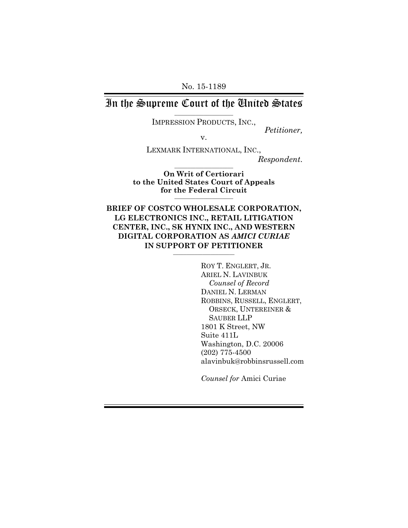#### In the Supreme Court of the United States  $\_$

IMPRESSION PRODUCTS, INC.,

v.

*Petitioner,* 

LEXMARK INTERNATIONAL, INC., *Respondent*.  $\_$ 

**On Writ of Certiorari to the United States Court of Appeals for the Federal Circuit** \_\_\_\_\_\_\_\_\_\_\_\_\_\_\_\_\_\_\_\_\_\_

**BRIEF OF COSTCO WHOLESALE CORPORATION, LG ELECTRONICS INC., RETAIL LITIGATION CENTER, INC., SK HYNIX INC., AND WESTERN DIGITAL CORPORATION AS** *AMICI CURIAE*  **IN SUPPORT OF PETITIONER** \_\_\_\_\_\_\_\_\_\_\_\_\_\_\_\_\_\_\_\_\_\_\_

> ROY T. ENGLERT, JR. ARIEL N. LAVINBUK *Counsel of Record* DANIEL N. LERMAN ROBBINS, RUSSELL, ENGLERT, ORSECK, UNTEREINER & SAUBER LLP 1801 K Street, NW Suite 411L Washington, D.C. 20006 (202) 775-4500 alavinbuk@robbinsrussell.com

*Counsel for* Amici Curiae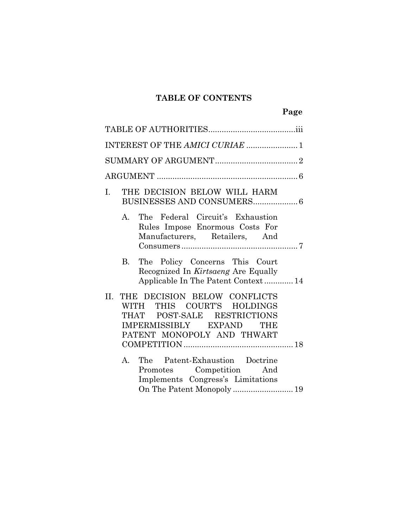# **TABLE OF CONTENTS**

| INTEREST OF THE AMICI CURIAE  1                                                                                                                                      |  |
|----------------------------------------------------------------------------------------------------------------------------------------------------------------------|--|
|                                                                                                                                                                      |  |
|                                                                                                                                                                      |  |
| THE DECISION BELOW WILL HARM<br>I.                                                                                                                                   |  |
| A. The Federal Circuit's Exhaustion<br>Rules Impose Enormous Costs For<br>Manufacturers, Retailers, And                                                              |  |
| B. The Policy Concerns This Court<br>Recognized In Kirtsaeng Are Equally<br>Applicable In The Patent Context 14                                                      |  |
| THE DECISION BELOW CONFLICTS<br>II.<br>THIS COURT'S HOLDINGS<br><b>WITH</b><br>THAT POST-SALE RESTRICTIONS<br>IMPERMISSIBLY EXPAND THE<br>PATENT MONOPOLY AND THWART |  |
| The Patent-Exhaustion Doctrine<br>$A_{1}$<br>Promotes Competition And<br>Implements Congress's Limitations<br>On The Patent Monopoly  19                             |  |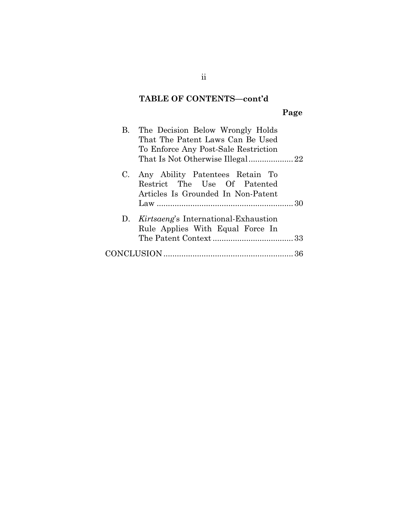## **TABLE OF CONTENTS—cont'd**

# **Page**

|                | B. The Decision Below Wrongly Holds<br>That The Patent Laws Can Be Used<br>To Enforce Any Post-Sale Restriction |  |
|----------------|-----------------------------------------------------------------------------------------------------------------|--|
|                |                                                                                                                 |  |
| $\mathbf{C}$ . | Any Ability Patentees Retain To<br>Restrict The Use Of Patented<br>Articles Is Grounded In Non-Patent           |  |
|                |                                                                                                                 |  |
|                | D. Kirtsaeng's International-Exhaustion<br>Rule Applies With Equal Force In                                     |  |
|                |                                                                                                                 |  |
|                |                                                                                                                 |  |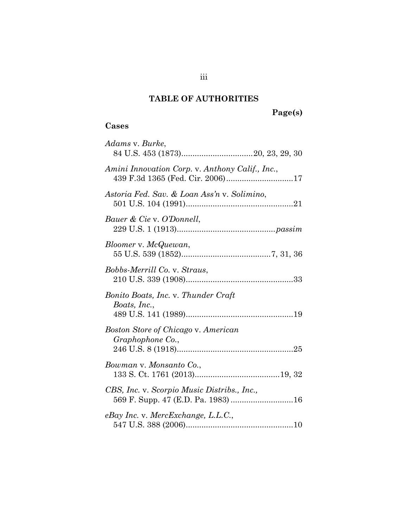## **TABLE OF AUTHORITIES**

### **Cases**

| Adams v. Burke,                                                                     |
|-------------------------------------------------------------------------------------|
|                                                                                     |
| Amini Innovation Corp. v. Anthony Calif., Inc.,<br>439 F.3d 1365 (Fed. Cir. 2006)17 |
| Astoria Fed. Sav. & Loan Ass'n v. Solimino,                                         |
| Bauer & Cie v. O'Donnell,                                                           |
| Bloomer v. McQuewan,                                                                |
| Bobbs-Merrill Co. v. Straus,                                                        |
| Bonito Boats, Inc. v. Thunder Craft<br>Boats, Inc.,                                 |
| <b>Boston Store of Chicago v. American</b><br>Graphophone Co.,                      |
| Bowman v. Monsanto Co.,                                                             |
| CBS, Inc. v. Scorpio Music Distribs., Inc.,                                         |
| $e$ Bay Inc. v. MercExchange, L.L.C.,                                               |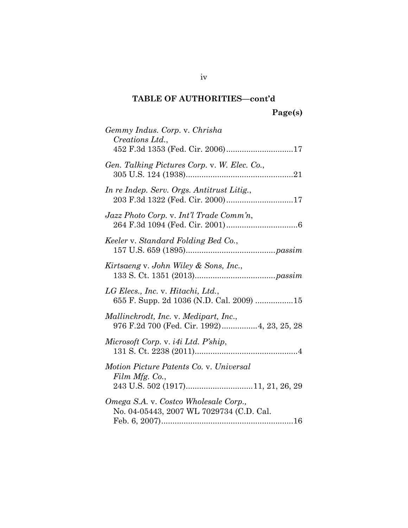# **TABLE OF AUTHORITIES—cont'd**

**Page(s)** 

| Gemmy Indus. Corp. v. Chrisha<br>Creations Ltd.,                                     |
|--------------------------------------------------------------------------------------|
| 452 F.3d 1353 (Fed. Cir. 2006)17                                                     |
| Gen. Talking Pictures Corp. v. W. Elec. Co.,                                         |
| In re Indep. Serv. Orgs. Antitrust Litig.,<br>203 F.3d 1322 (Fed. Cir. 2000)17       |
| Jazz Photo Corp. v. Int'l Trade Comm'n,                                              |
| Keeler v. Standard Folding Bed Co.,                                                  |
| Kirtsaeng v. John Wiley & Sons, Inc.,                                                |
| LG Elecs., Inc. v. Hitachi, Ltd.,<br>655 F. Supp. 2d 1036 (N.D. Cal. 2009) 15        |
| Mallinckrodt, Inc. v. Medipart, Inc.,<br>976 F.2d 700 (Fed. Cir. 1992) 4, 23, 25, 28 |
| Microsoft Corp. v. <i>i4i Ltd.</i> P'ship,                                           |
| Motion Picture Patents Co. v. Universal<br>Film Mfg. Co.,                            |
|                                                                                      |
| Omega S.A. v. Costco Wholesale Corp.,<br>No. 04-05443, 2007 WL 7029734 (C.D. Cal.    |

iv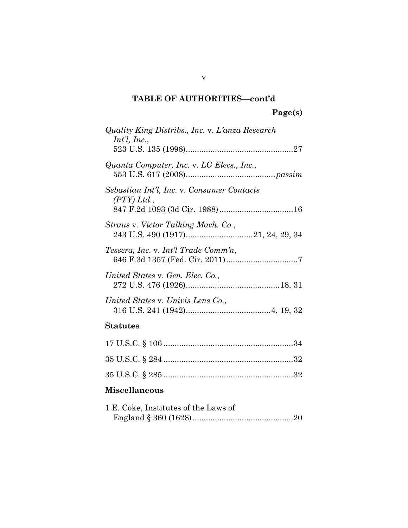# **TABLE OF AUTHORITIES—cont'd**

| Quality King Distribs., Inc. v. L'anza Research<br>$Int'l$ , Inc., |
|--------------------------------------------------------------------|
| Quanta Computer, Inc. v. LG Elecs., Inc.,                          |
| Sebastian Int'l, Inc. v. Consumer Contacts<br>(PTY) Ltd.           |
| Straus v. Victor Talking Mach. Co.,                                |
| Tessera, Inc. v. Int'l Trade Comm'n,                               |
| United States v. Gen. Elec. Co.,                                   |
| United States v. Univis Lens Co.,                                  |
| Statutes                                                           |
|                                                                    |

# **Miscellaneous**

| 1 E. Coke, Institutes of the Laws of |  |
|--------------------------------------|--|
|                                      |  |

v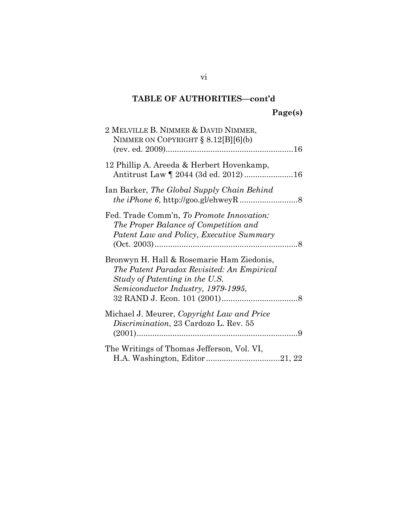# **TABLE OF AUTHORITIES—cont'd Page(s)**

| 2 MELVILLE B. NIMMER & DAVID NIMMER,<br>NIMMER ON COPYRIGHT § 8.12[B][6](b)                                                                                     |
|-----------------------------------------------------------------------------------------------------------------------------------------------------------------|
| 12 Phillip A. Areeda & Herbert Hovenkamp,                                                                                                                       |
| Ian Barker, The Global Supply Chain Behind                                                                                                                      |
| Fed. Trade Comm'n, To Promote Innovation:<br>The Proper Balance of Competition and<br>Patent Law and Policy, Executive Summary                                  |
| Bronwyn H. Hall & Rosemarie Ham Ziedonis,<br>The Patent Paradox Revisited: An Empirical<br>Study of Patenting in the U.S.<br>Semiconductor Industry, 1979-1995, |
| Michael J. Meurer, Copyright Law and Price<br>Discrimination, 23 Cardozo L. Rev. 55                                                                             |
| The Writings of Thomas Jefferson, Vol. VI,                                                                                                                      |

vi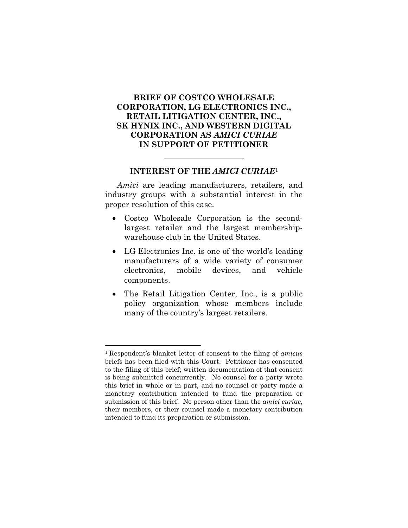#### **BRIEF OF COSTCO WHOLESALE CORPORATION, LG ELECTRONICS INC., RETAIL LITIGATION CENTER, INC., SK HYNIX INC., AND WESTERN DIGITAL CORPORATION AS** *AMICI CURIAE* **IN SUPPORT OF PETITIONER**

#### **INTEREST OF THE** *AMICI CURIAE*<sup>1</sup>

*Amici* are leading manufacturers, retailers, and industry groups with a substantial interest in the proper resolution of this case.

- Costco Wholesale Corporation is the secondlargest retailer and the largest membershipwarehouse club in the United States.
- LG Electronics Inc. is one of the world's leading manufacturers of a wide variety of consumer electronics, mobile devices, and vehicle components.
- The Retail Litigation Center, Inc., is a public policy organization whose members include many of the country's largest retailers.

l

<sup>1</sup> Respondent's blanket letter of consent to the filing of *amicus* briefs has been filed with this Court. Petitioner has consented to the filing of this brief; written documentation of that consent is being submitted concurrently. No counsel for a party wrote this brief in whole or in part, and no counsel or party made a monetary contribution intended to fund the preparation or submission of this brief. No person other than the *amici curiae*, their members, or their counsel made a monetary contribution intended to fund its preparation or submission.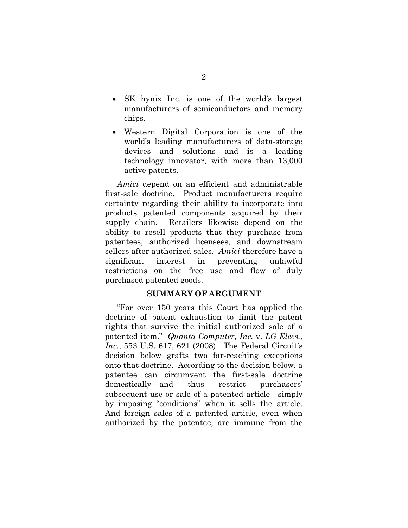- SK hynix Inc. is one of the world's largest manufacturers of semiconductors and memory chips.
- Western Digital Corporation is one of the world's leading manufacturers of data-storage devices and solutions and is a leading technology innovator, with more than 13,000 active patents.

*Amici* depend on an efficient and administrable first-sale doctrine. Product manufacturers require certainty regarding their ability to incorporate into products patented components acquired by their supply chain. Retailers likewise depend on the ability to resell products that they purchase from patentees, authorized licensees, and downstream sellers after authorized sales. *Amici* therefore have a significant interest in preventing unlawful restrictions on the free use and flow of duly purchased patented goods.

#### **SUMMARY OF ARGUMENT**

"For over 150 years this Court has applied the doctrine of patent exhaustion to limit the patent rights that survive the initial authorized sale of a patented item." *Quanta Computer, Inc.* v. *LG Elecs., Inc.*, 553 U.S. 617, 621 (2008). The Federal Circuit's decision below grafts two far-reaching exceptions onto that doctrine. According to the decision below, a patentee can circumvent the first-sale doctrine domestically—and thus restrict purchasers' subsequent use or sale of a patented article—simply by imposing "conditions" when it sells the article. And foreign sales of a patented article, even when authorized by the patentee, are immune from the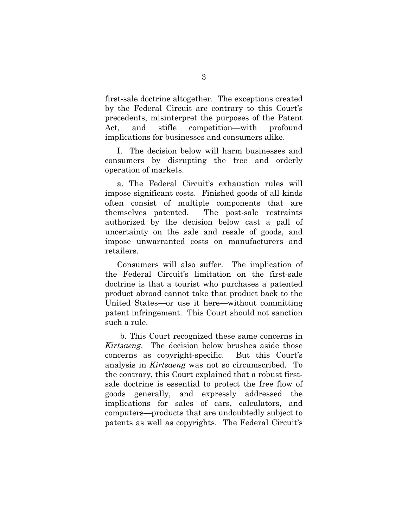first-sale doctrine altogether. The exceptions created by the Federal Circuit are contrary to this Court's precedents, misinterpret the purposes of the Patent Act, and stifle competition—with profound implications for businesses and consumers alike.

I. The decision below will harm businesses and consumers by disrupting the free and orderly operation of markets.

a. The Federal Circuit's exhaustion rules will impose significant costs. Finished goods of all kinds often consist of multiple components that are themselves patented. The post-sale restraints authorized by the decision below cast a pall of uncertainty on the sale and resale of goods, and impose unwarranted costs on manufacturers and retailers.

Consumers will also suffer. The implication of the Federal Circuit's limitation on the first-sale doctrine is that a tourist who purchases a patented product abroad cannot take that product back to the United States—or use it here—without committing patent infringement. This Court should not sanction such a rule.

b. This Court recognized these same concerns in *Kirtsaeng*. The decision below brushes aside those concerns as copyright-specific. But this Court's analysis in *Kirtsaeng* was not so circumscribed. To the contrary, this Court explained that a robust firstsale doctrine is essential to protect the free flow of goods generally, and expressly addressed the implications for sales of cars, calculators, and computers—products that are undoubtedly subject to patents as well as copyrights. The Federal Circuit's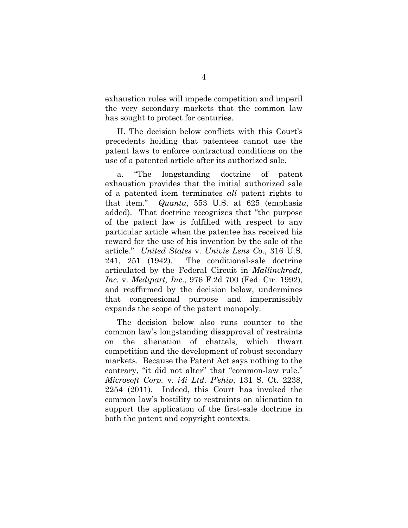exhaustion rules will impede competition and imperil the very secondary markets that the common law has sought to protect for centuries.

II. The decision below conflicts with this Court's precedents holding that patentees cannot use the patent laws to enforce contractual conditions on the use of a patented article after its authorized sale.

a. "The longstanding doctrine of patent exhaustion provides that the initial authorized sale of a patented item terminates *all* patent rights to that item." *Quanta*, 553 U.S. at 625 (emphasis added). That doctrine recognizes that "the purpose of the patent law is fulfilled with respect to any particular article when the patentee has received his reward for the use of his invention by the sale of the article." *United States* v. *Univis Lens Co.*, 316 U.S. 241, 251 (1942). The conditional-sale doctrine articulated by the Federal Circuit in *Mallinckrodt, Inc.* v. *Medipart, Inc*., 976 F.2d 700 (Fed. Cir. 1992), and reaffirmed by the decision below, undermines that congressional purpose and impermissibly expands the scope of the patent monopoly.

The decision below also runs counter to the common law's longstanding disapproval of restraints on the alienation of chattels, which thwart competition and the development of robust secondary markets. Because the Patent Act says nothing to the contrary, "it did not alter" that "common-law rule." *Microsoft Corp.* v. *i4i Ltd. P'ship*, 131 S. Ct. 2238, 2254 (2011). Indeed, this Court has invoked the common law's hostility to restraints on alienation to support the application of the first-sale doctrine in both the patent and copyright contexts.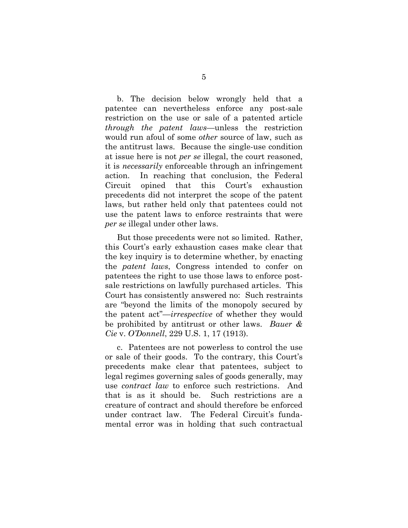b. The decision below wrongly held that a patentee can nevertheless enforce any post-sale restriction on the use or sale of a patented article *through the patent laws*—unless the restriction would run afoul of some *other* source of law, such as the antitrust laws. Because the single-use condition at issue here is not *per se* illegal, the court reasoned, it is *necessarily* enforceable through an infringement action. In reaching that conclusion, the Federal Circuit opined that this Court's exhaustion precedents did not interpret the scope of the patent laws, but rather held only that patentees could not use the patent laws to enforce restraints that were *per se* illegal under other laws.

But those precedents were not so limited. Rather, this Court's early exhaustion cases make clear that the key inquiry is to determine whether, by enacting the *patent laws*, Congress intended to confer on patentees the right to use those laws to enforce postsale restrictions on lawfully purchased articles. This Court has consistently answered no: Such restraints are "beyond the limits of the monopoly secured by the patent act"—*irrespective* of whether they would be prohibited by antitrust or other laws. *Bauer & Cie* v. *O'Donnell*, 229 U.S. 1, 17 (1913).

c. Patentees are not powerless to control the use or sale of their goods. To the contrary, this Court's precedents make clear that patentees, subject to legal regimes governing sales of goods generally, may use *contract law* to enforce such restrictions. And that is as it should be. Such restrictions are a creature of contract and should therefore be enforced under contract law. The Federal Circuit's fundamental error was in holding that such contractual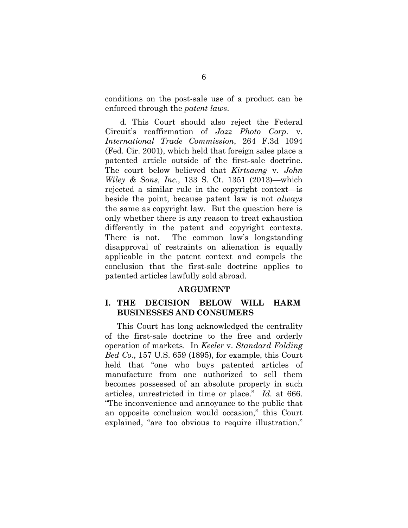conditions on the post-sale use of a product can be enforced through the *patent laws*.

d. This Court should also reject the Federal Circuit's reaffirmation of *Jazz Photo Corp.* v. *International Trade Commission*, 264 F.3d 1094 (Fed. Cir. 2001), which held that foreign sales place a patented article outside of the first-sale doctrine. The court below believed that *Kirtsaeng* v. *John Wiley & Sons, Inc.*, 133 S. Ct. 1351 (2013)—which rejected a similar rule in the copyright context—is beside the point, because patent law is not *always*  the same as copyright law. But the question here is only whether there is any reason to treat exhaustion differently in the patent and copyright contexts. There is not. The common law's longstanding disapproval of restraints on alienation is equally applicable in the patent context and compels the conclusion that the first-sale doctrine applies to patented articles lawfully sold abroad.

#### **ARGUMENT**

#### **I. THE DECISION BELOW WILL HARM BUSINESSES AND CONSUMERS**

This Court has long acknowledged the centrality of the first-sale doctrine to the free and orderly operation of markets. In *Keeler* v. *Standard Folding Bed Co.*, 157 U.S. 659 (1895), for example, this Court held that "one who buys patented articles of manufacture from one authorized to sell them becomes possessed of an absolute property in such articles, unrestricted in time or place." *Id.* at 666. "The inconvenience and annoyance to the public that an opposite conclusion would occasion," this Court explained, "are too obvious to require illustration."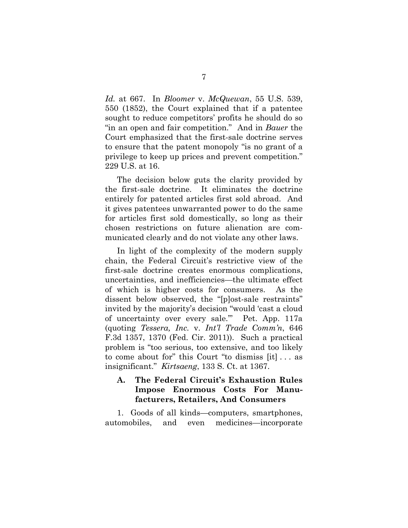*Id.* at 667. In *Bloomer* v. *McQuewan*, 55 U.S. 539, 550 (1852), the Court explained that if a patentee sought to reduce competitors' profits he should do so "in an open and fair competition." And in *Bauer* the Court emphasized that the first-sale doctrine serves to ensure that the patent monopoly "is no grant of a privilege to keep up prices and prevent competition." 229 U.S. at 16.

The decision below guts the clarity provided by the first-sale doctrine. It eliminates the doctrine entirely for patented articles first sold abroad. And it gives patentees unwarranted power to do the same for articles first sold domestically, so long as their chosen restrictions on future alienation are communicated clearly and do not violate any other laws.

In light of the complexity of the modern supply chain, the Federal Circuit's restrictive view of the first-sale doctrine creates enormous complications, uncertainties, and inefficiencies—the ultimate effect of which is higher costs for consumers. As the dissent below observed, the "[p]ost-sale restraints" invited by the majority's decision "would 'cast a cloud of uncertainty over every sale.'" Pet. App. 117a (quoting *Tessera, Inc.* v. *Int'l Trade Comm'n*, 646 F.3d 1357, 1370 (Fed. Cir. 2011)). Such a practical problem is "too serious, too extensive, and too likely to come about for" this Court "to dismiss [it] . . . as insignificant." *Kirtsaeng*, 133 S. Ct. at 1367.

#### **A. The Federal Circuit's Exhaustion Rules Impose Enormous Costs For Manufacturers, Retailers, And Consumers**

1. Goods of all kinds—computers, smartphones, automobiles, and even medicines—incorporate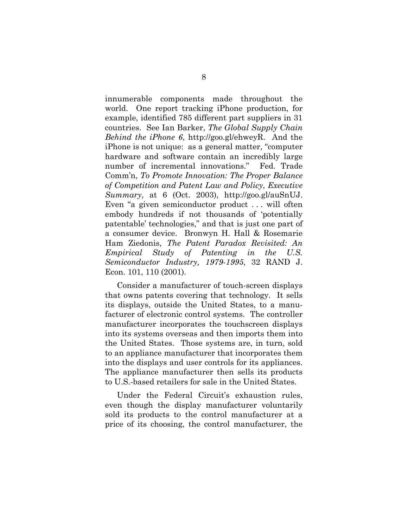innumerable components made throughout the world. One report tracking iPhone production, for example, identified 785 different part suppliers in 31 countries. See Ian Barker, *The Global Supply Chain Behind the iPhone 6*, http://goo.gl/ehweyR. And the iPhone is not unique: as a general matter, "computer hardware and software contain an incredibly large number of incremental innovations." Fed. Trade Comm'n, *To Promote Innovation: The Proper Balance of Competition and Patent Law and Policy*, *Executive Summary*, at 6 (Oct. 2003), http://goo.gl/auSnUJ. Even "a given semiconductor product . . . will often embody hundreds if not thousands of 'potentially patentable' technologies," and that is just one part of a consumer device. Bronwyn H. Hall & Rosemarie Ham Ziedonis, *The Patent Paradox Revisited: An Empirical Study of Patenting in the U.S. Semiconductor Industry, 1979-1995*, 32 RAND J. Econ. 101, 110 (2001).

Consider a manufacturer of touch-screen displays that owns patents covering that technology. It sells its displays, outside the United States, to a manufacturer of electronic control systems. The controller manufacturer incorporates the touchscreen displays into its systems overseas and then imports them into the United States. Those systems are, in turn, sold to an appliance manufacturer that incorporates them into the displays and user controls for its appliances. The appliance manufacturer then sells its products to U.S.-based retailers for sale in the United States.

Under the Federal Circuit's exhaustion rules, even though the display manufacturer voluntarily sold its products to the control manufacturer at a price of its choosing, the control manufacturer, the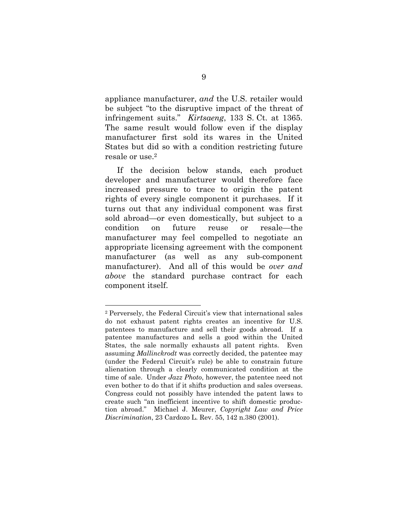appliance manufacturer, *and* the U.S. retailer would be subject "to the disruptive impact of the threat of infringement suits." *Kirtsaeng*, 133 S. Ct. at 1365. The same result would follow even if the display manufacturer first sold its wares in the United States but did so with a condition restricting future resale or use.2

If the decision below stands, each product developer and manufacturer would therefore face increased pressure to trace to origin the patent rights of every single component it purchases. If it turns out that any individual component was first sold abroad—or even domestically, but subject to a condition on future reuse or resale—the manufacturer may feel compelled to negotiate an appropriate licensing agreement with the component manufacturer (as well as any sub-component manufacturer). And all of this would be *over and above* the standard purchase contract for each component itself.

<sup>2</sup> Perversely, the Federal Circuit's view that international sales do not exhaust patent rights creates an incentive for U.S. patentees to manufacture and sell their goods abroad. If a patentee manufactures and sells a good within the United States, the sale normally exhausts all patent rights. Even assuming *Mallinckrodt* was correctly decided, the patentee may (under the Federal Circuit's rule) be able to constrain future alienation through a clearly communicated condition at the time of sale. Under *Jazz Photo*, however, the patentee need not even bother to do that if it shifts production and sales overseas. Congress could not possibly have intended the patent laws to create such "an inefficient incentive to shift domestic production abroad." Michael J. Meurer, *Copyright Law and Price Discrimination*, 23 Cardozo L. Rev. 55, 142 n.380 (2001).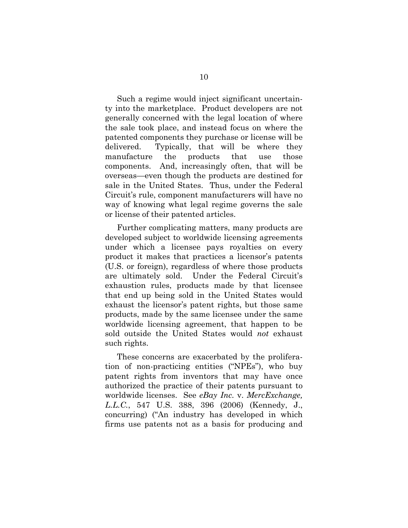Such a regime would inject significant uncertainty into the marketplace. Product developers are not generally concerned with the legal location of where the sale took place, and instead focus on where the patented components they purchase or license will be delivered. Typically, that will be where they manufacture the products that use those components. And, increasingly often, that will be overseas—even though the products are destined for sale in the United States. Thus, under the Federal Circuit's rule, component manufacturers will have no way of knowing what legal regime governs the sale or license of their patented articles.

Further complicating matters, many products are developed subject to worldwide licensing agreements under which a licensee pays royalties on every product it makes that practices a licensor's patents (U.S. or foreign), regardless of where those products are ultimately sold. Under the Federal Circuit's exhaustion rules, products made by that licensee that end up being sold in the United States would exhaust the licensor's patent rights, but those same products, made by the same licensee under the same worldwide licensing agreement, that happen to be sold outside the United States would *not* exhaust such rights.

These concerns are exacerbated by the proliferation of non-practicing entities ("NPEs"), who buy patent rights from inventors that may have once authorized the practice of their patents pursuant to worldwide licenses. See *eBay Inc.* v. *MercExchange, L.L.C.*, 547 U.S. 388, 396 (2006) (Kennedy, J., concurring) ("An industry has developed in which firms use patents not as a basis for producing and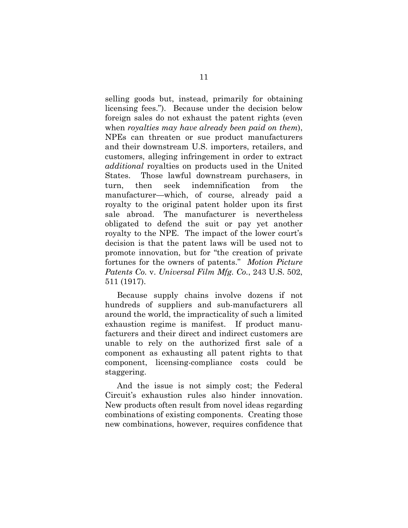selling goods but, instead, primarily for obtaining licensing fees."). Because under the decision below foreign sales do not exhaust the patent rights (even when *royalties may have already been paid on them*), NPEs can threaten or sue product manufacturers and their downstream U.S. importers, retailers, and customers, alleging infringement in order to extract *additional* royalties on products used in the United States. Those lawful downstream purchasers, in turn, then seek indemnification from the manufacturer—which, of course, already paid a royalty to the original patent holder upon its first sale abroad. The manufacturer is nevertheless obligated to defend the suit or pay yet another royalty to the NPE. The impact of the lower court's decision is that the patent laws will be used not to promote innovation, but for "the creation of private fortunes for the owners of patents." *Motion Picture Patents Co.* v. *Universal Film Mfg. Co.*, 243 U.S. 502, 511 (1917).

Because supply chains involve dozens if not hundreds of suppliers and sub-manufacturers all around the world, the impracticality of such a limited exhaustion regime is manifest. If product manufacturers and their direct and indirect customers are unable to rely on the authorized first sale of a component as exhausting all patent rights to that component, licensing-compliance costs could be staggering.

And the issue is not simply cost; the Federal Circuit's exhaustion rules also hinder innovation. New products often result from novel ideas regarding combinations of existing components. Creating those new combinations, however, requires confidence that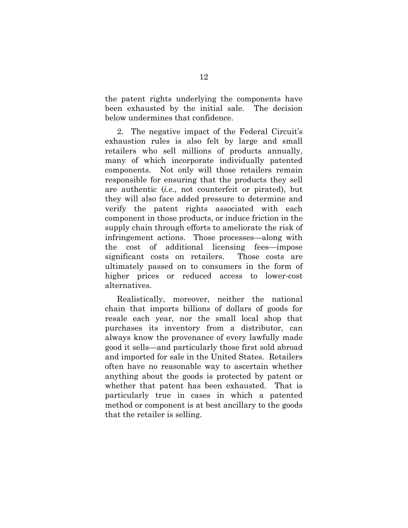the patent rights underlying the components have been exhausted by the initial sale. The decision below undermines that confidence.

2. The negative impact of the Federal Circuit's exhaustion rules is also felt by large and small retailers who sell millions of products annually, many of which incorporate individually patented components. Not only will those retailers remain responsible for ensuring that the products they sell are authentic (*i.e.*, not counterfeit or pirated), but they will also face added pressure to determine and verify the patent rights associated with each component in those products, or induce friction in the supply chain through efforts to ameliorate the risk of infringement actions. Those processes—along with the cost of additional licensing fees—impose significant costs on retailers. Those costs are ultimately passed on to consumers in the form of higher prices or reduced access to lower-cost alternatives.

Realistically, moreover, neither the national chain that imports billions of dollars of goods for resale each year, nor the small local shop that purchases its inventory from a distributor, can always know the provenance of every lawfully made good it sells—and particularly those first sold abroad and imported for sale in the United States. Retailers often have no reasonable way to ascertain whether anything about the goods is protected by patent or whether that patent has been exhausted. That is particularly true in cases in which a patented method or component is at best ancillary to the goods that the retailer is selling.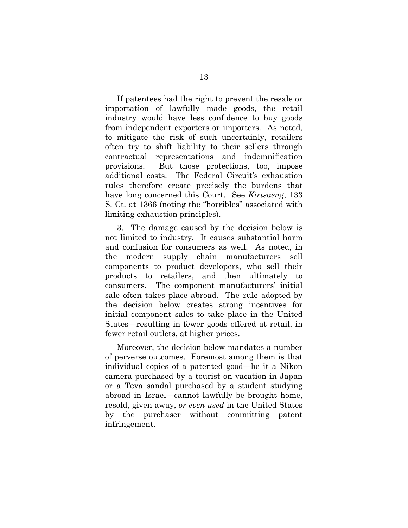If patentees had the right to prevent the resale or importation of lawfully made goods, the retail industry would have less confidence to buy goods from independent exporters or importers. As noted, to mitigate the risk of such uncertainly, retailers often try to shift liability to their sellers through contractual representations and indemnification provisions. But those protections, too, impose additional costs. The Federal Circuit's exhaustion rules therefore create precisely the burdens that have long concerned this Court. See *Kirtsaeng*, 133 S. Ct. at 1366 (noting the "horribles" associated with limiting exhaustion principles).

3. The damage caused by the decision below is not limited to industry. It causes substantial harm and confusion for consumers as well. As noted, in the modern supply chain manufacturers sell components to product developers, who sell their products to retailers, and then ultimately to consumers. The component manufacturers' initial sale often takes place abroad. The rule adopted by the decision below creates strong incentives for initial component sales to take place in the United States—resulting in fewer goods offered at retail, in fewer retail outlets, at higher prices.

Moreover, the decision below mandates a number of perverse outcomes. Foremost among them is that individual copies of a patented good—be it a Nikon camera purchased by a tourist on vacation in Japan or a Teva sandal purchased by a student studying abroad in Israel—cannot lawfully be brought home, resold, given away, *or even used* in the United States by the purchaser without committing patent infringement.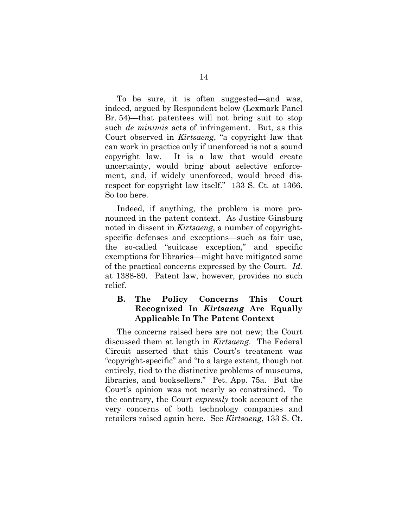To be sure, it is often suggested—and was, indeed, argued by Respondent below (Lexmark Panel Br. 54)—that patentees will not bring suit to stop such *de minimis* acts of infringement. But, as this Court observed in *Kirtsaeng*, "a copyright law that can work in practice only if unenforced is not a sound copyright law. It is a law that would create uncertainty, would bring about selective enforcement, and, if widely unenforced, would breed disrespect for copyright law itself." 133 S. Ct. at 1366. So too here.

Indeed, if anything, the problem is more pronounced in the patent context. As Justice Ginsburg noted in dissent in *Kirtsaeng*, a number of copyrightspecific defenses and exceptions—such as fair use, the so-called "suitcase exception," and specific exemptions for libraries—might have mitigated some of the practical concerns expressed by the Court. *Id.* at 1388-89. Patent law, however, provides no such relief.

#### **B. The Policy Concerns This Court Recognized In** *Kirtsaeng* **Are Equally Applicable In The Patent Context**

The concerns raised here are not new; the Court discussed them at length in *Kirtsaeng*. The Federal Circuit asserted that this Court's treatment was "copyright-specific" and "to a large extent, though not entirely, tied to the distinctive problems of museums, libraries, and booksellers." Pet. App. 75a. But the Court's opinion was not nearly so constrained. To the contrary, the Court *expressly* took account of the very concerns of both technology companies and retailers raised again here. See *Kirtsaeng*, 133 S. Ct.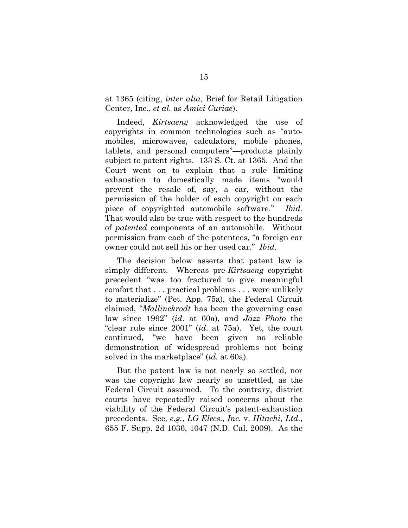at 1365 (citing, *inter alia*, Brief for Retail Litigation Center, Inc., *et al.* as *Amici Curiae*).

Indeed, *Kirtsaeng* acknowledged the use of copyrights in common technologies such as "automobiles, microwaves, calculators, mobile phones, tablets, and personal computers"—products plainly subject to patent rights. 133 S. Ct. at 1365. And the Court went on to explain that a rule limiting exhaustion to domestically made items "would prevent the resale of, say, a car, without the permission of the holder of each copyright on each piece of copyrighted automobile software." *Ibid.* That would also be true with respect to the hundreds of *patented* components of an automobile. Without permission from each of the patentees, "a foreign car owner could not sell his or her used car." *Ibid.*

The decision below asserts that patent law is simply different. Whereas pre-*Kirtsaeng* copyright precedent "was too fractured to give meaningful comfort that . . . practical problems . . . were unlikely to materialize" (Pet. App. 75a), the Federal Circuit claimed, "*Mallinckrodt* has been the governing case law since 1992" (*id*. at 60a), and *Jazz Photo* the "clear rule since 2001" (*id*. at 75a). Yet, the court continued, "we have been given no reliable demonstration of widespread problems not being solved in the marketplace" (*id.* at 60a).

But the patent law is not nearly so settled, nor was the copyright law nearly so unsettled, as the Federal Circuit assumed. To the contrary, district courts have repeatedly raised concerns about the viability of the Federal Circuit's patent-exhaustion precedents. See*, e.g.*, *LG Elecs., Inc.* v. *Hitachi, Ltd.*, 655 F. Supp. 2d 1036, 1047 (N.D. Cal. 2009). As the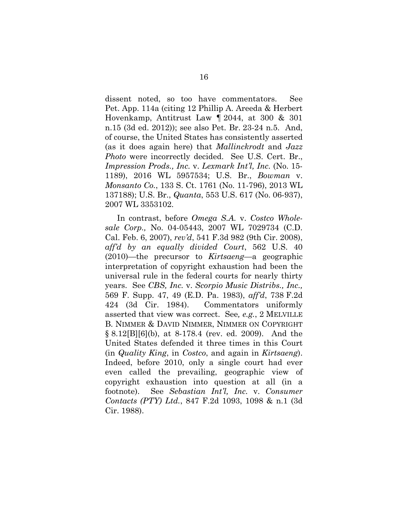dissent noted, so too have commentators. See Pet. App. 114a (citing 12 Phillip A. Areeda & Herbert Hovenkamp, Antitrust Law ¶ 2044, at 300 & 301 n.15 (3d ed. 2012)); see also Pet. Br. 23-24 n.5. And, of course, the United States has consistently asserted (as it does again here) that *Mallinckrodt* and *Jazz Photo* were incorrectly decided. See U.S. Cert. Br., *Impression Prods., Inc.* v. *Lexmark Int'l, Inc.* (No. 15- 1189), 2016 WL 5957534; U.S. Br., *Bowman* v. *Monsanto Co.*, 133 S. Ct. 1761 (No. 11-796), 2013 WL 137188); U.S. Br., *Quanta*, 553 U.S. 617 (No. 06-937), 2007 WL 3353102.

In contrast, before *Omega S.A.* v. *Costco Wholesale Corp.,* No. 04-05443, 2007 WL 7029734 (C.D. Cal. Feb. 6, 2007), *rev'd*, 541 F.3d 982 (9th Cir. 2008), *aff'd by an equally divided Court*, 562 U.S. 40 (2010)—the precursor to *Kirtsaeng*—a geographic interpretation of copyright exhaustion had been the universal rule in the federal courts for nearly thirty years. See *CBS, Inc.* v. *Scorpio Music Distribs., Inc.,* 569 F. Supp. 47, 49 (E.D. Pa. 1983), *aff'd*, 738 F.2d 424 (3d Cir. 1984). Commentators uniformly asserted that view was correct. See*, e.g.*, 2 MELVILLE B. NIMMER & DAVID NIMMER, NIMMER ON COPYRIGHT § 8.12[B][6](b), at 8-178.4 (rev. ed. 2009). And the United States defended it three times in this Court (in *Quality King*, in *Costco*, and again in *Kirtsaeng*). Indeed, before 2010, only a single court had ever even called the prevailing, geographic view of copyright exhaustion into question at all (in a footnote). See *Sebastian Int'l, Inc.* v. *Consumer Contacts (PTY) Ltd.*, 847 F.2d 1093, 1098 & n.1 (3d Cir. 1988).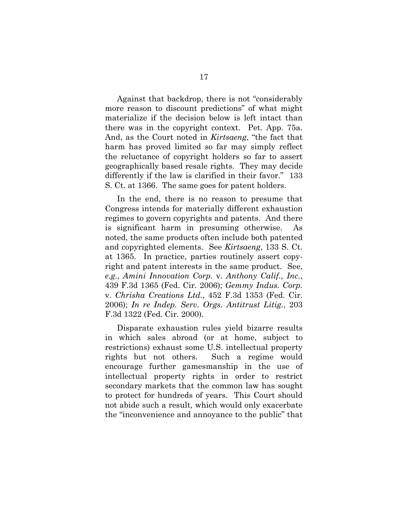Against that backdrop, there is not "considerably more reason to discount predictions" of what might materialize if the decision below is left intact than there was in the copyright context. Pet. App. 75a. And, as the Court noted in *Kirtsaeng*, "the fact that harm has proved limited so far may simply reflect the reluctance of copyright holders so far to assert geographically based resale rights. They may decide differently if the law is clarified in their favor." 133 S. Ct. at 1366. The same goes for patent holders.

In the end, there is no reason to presume that Congress intends for materially different exhaustion regimes to govern copyrights and patents. And there is significant harm in presuming otherwise. As noted, the same products often include both patented and copyrighted elements. See *Kirtsaeng*, 133 S. Ct. at 1365. In practice, parties routinely assert copyright and patent interests in the same product. See, *e.g.*, *Amini Innovation Corp.* v. *Anthony Calif., Inc.*, 439 F.3d 1365 (Fed. Cir. 2006); *Gemmy Indus. Corp.*  v. *Chrisha Creations Ltd.*, 452 F.3d 1353 (Fed. Cir. 2006); *In re Indep. Serv. Orgs. Antitrust Litig.*, 203 F.3d 1322 (Fed. Cir. 2000).

Disparate exhaustion rules yield bizarre results in which sales abroad (or at home, subject to restrictions) exhaust some U.S. intellectual property rights but not others. Such a regime would encourage further gamesmanship in the use of intellectual property rights in order to restrict secondary markets that the common law has sought to protect for hundreds of years. This Court should not abide such a result, which would only exacerbate the "inconvenience and annoyance to the public" that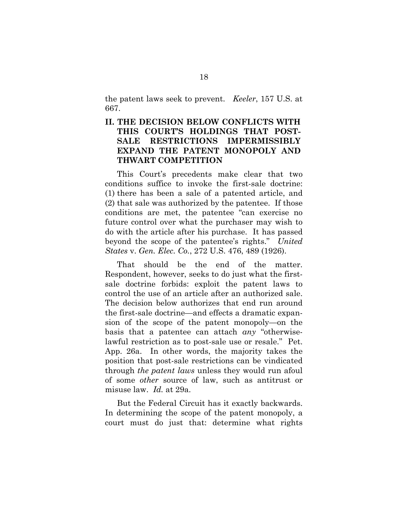the patent laws seek to prevent. *Keeler*, 157 U.S. at 667.

#### **II. THE DECISION BELOW CONFLICTS WITH THIS COURT'S HOLDINGS THAT POST-SALE RESTRICTIONS IMPERMISSIBLY EXPAND THE PATENT MONOPOLY AND THWART COMPETITION**

This Court's precedents make clear that two conditions suffice to invoke the first-sale doctrine: (1) there has been a sale of a patented article, and (2) that sale was authorized by the patentee. If those conditions are met, the patentee "can exercise no future control over what the purchaser may wish to do with the article after his purchase. It has passed beyond the scope of the patentee's rights." *United States* v. *Gen. Elec. Co.*, 272 U.S. 476, 489 (1926).

That should be the end of the matter. Respondent, however, seeks to do just what the firstsale doctrine forbids: exploit the patent laws to control the use of an article after an authorized sale. The decision below authorizes that end run around the first-sale doctrine—and effects a dramatic expansion of the scope of the patent monopoly—on the basis that a patentee can attach *any* "otherwiselawful restriction as to post-sale use or resale." Pet. App. 26a. In other words, the majority takes the position that post-sale restrictions can be vindicated through *the patent laws* unless they would run afoul of some *other* source of law, such as antitrust or misuse law. *Id.* at 29a.

But the Federal Circuit has it exactly backwards. In determining the scope of the patent monopoly, a court must do just that: determine what rights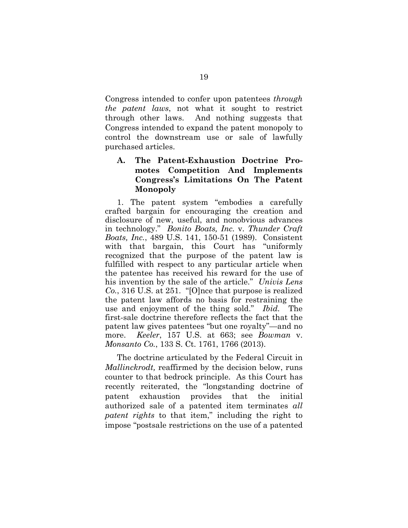Congress intended to confer upon patentees *through the patent laws*, not what it sought to restrict through other laws. And nothing suggests that Congress intended to expand the patent monopoly to control the downstream use or sale of lawfully purchased articles.

#### **A. The Patent-Exhaustion Doctrine Promotes Competition And Implements Congress's Limitations On The Patent Monopoly**

1. The patent system "embodies a carefully crafted bargain for encouraging the creation and disclosure of new, useful, and nonobvious advances in technology." *Bonito Boats, Inc.* v. *Thunder Craft Boats, Inc.*, 489 U.S. 141, 150-51 (1989). Consistent with that bargain, this Court has "uniformly recognized that the purpose of the patent law is fulfilled with respect to any particular article when the patentee has received his reward for the use of his invention by the sale of the article." *Univis Lens Co.*, 316 U.S. at 251. "[O]nce that purpose is realized the patent law affords no basis for restraining the use and enjoyment of the thing sold." *Ibid.* The first-sale doctrine therefore reflects the fact that the patent law gives patentees "but one royalty"—and no more. *Keeler*, 157 U.S. at 663; see *Bowman* v. *Monsanto Co.*, 133 S. Ct. 1761, 1766 (2013).

The doctrine articulated by the Federal Circuit in *Mallinckrodt,* reaffirmed by the decision below, runs counter to that bedrock principle. As this Court has recently reiterated, the "longstanding doctrine of patent exhaustion provides that the initial authorized sale of a patented item terminates *all patent rights* to that item," including the right to impose "postsale restrictions on the use of a patented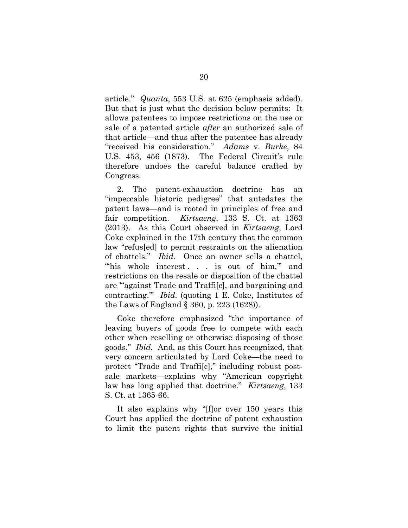article." *Quanta*, 553 U.S. at 625 (emphasis added). But that is just what the decision below permits: It allows patentees to impose restrictions on the use or sale of a patented article *after* an authorized sale of that article—and thus after the patentee has already "received his consideration." *Adams* v. *Burke*, 84 U.S. 453, 456 (1873). The Federal Circuit's rule therefore undoes the careful balance crafted by Congress.

2. The patent-exhaustion doctrine has an "impeccable historic pedigree" that antedates the patent laws—and is rooted in principles of free and fair competition. *Kirtsaeng*, 133 S. Ct. at 1363 (2013). As this Court observed in *Kirtsaeng*, Lord Coke explained in the 17th century that the common law "refus[ed] to permit restraints on the alienation of chattels." *Ibid.* Once an owner sells a chattel, "his whole interest... is out of him," and restrictions on the resale or disposition of the chattel are "'against Trade and Traffi[c], and bargaining and contracting.'" *Ibid.* (quoting 1 E. Coke, Institutes of the Laws of England § 360, p. 223 (1628)).

Coke therefore emphasized "the importance of leaving buyers of goods free to compete with each other when reselling or otherwise disposing of those goods." *Ibid.* And, as this Court has recognized, that very concern articulated by Lord Coke—the need to protect "Trade and Traffi[c]," including robust postsale markets—explains why "American copyright law has long applied that doctrine." *Kirtsaeng*, 133 S. Ct. at 1365-66.

It also explains why "[f]or over 150 years this Court has applied the doctrine of patent exhaustion to limit the patent rights that survive the initial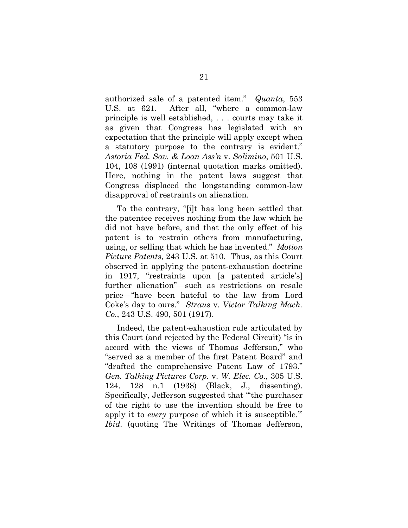authorized sale of a patented item." *Quanta*, 553 U.S. at 621. After all, "where a common-law principle is well established, . . . courts may take it as given that Congress has legislated with an expectation that the principle will apply except when a statutory purpose to the contrary is evident." *Astoria Fed. Sav. & Loan Ass'n* v. *Solimino*, 501 U.S. 104, 108 (1991) (internal quotation marks omitted). Here, nothing in the patent laws suggest that Congress displaced the longstanding common-law disapproval of restraints on alienation.

To the contrary, "[i]t has long been settled that the patentee receives nothing from the law which he did not have before, and that the only effect of his patent is to restrain others from manufacturing, using, or selling that which he has invented." *Motion Picture Patents*, 243 U.S. at 510. Thus, as this Court observed in applying the patent-exhaustion doctrine in 1917, "restraints upon [a patented article's] further alienation"—such as restrictions on resale price—"have been hateful to the law from Lord Coke's day to ours." *Straus* v. *Victor Talking Mach. Co.*, 243 U.S. 490, 501 (1917).

Indeed, the patent-exhaustion rule articulated by this Court (and rejected by the Federal Circuit) "is in accord with the views of Thomas Jefferson," who "served as a member of the first Patent Board" and "drafted the comprehensive Patent Law of 1793." *Gen. Talking Pictures Corp.* v. *W. Elec. Co.*, 305 U.S. 124, 128 n.1 (1938) (Black, J., dissenting). Specifically, Jefferson suggested that "'the purchaser of the right to use the invention should be free to apply it to *every* purpose of which it is susceptible.'" *Ibid.* (quoting The Writings of Thomas Jefferson,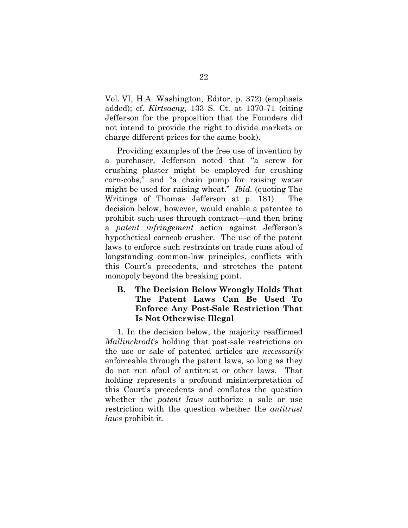Vol. VI, H.A. Washington, Editor, p. 372) (emphasis added); cf. *Kirtsaeng*, 133 S. Ct. at 1370-71 (citing Jefferson for the proposition that the Founders did not intend to provide the right to divide markets or charge different prices for the same book).

Providing examples of the free use of invention by a purchaser, Jefferson noted that "a screw for crushing plaster might be employed for crushing corn-cobs," and "a chain pump for raising water might be used for raising wheat." *Ibid.* (quoting The Writings of Thomas Jefferson at p. 181). The decision below, however, would enable a patentee to prohibit such uses through contract—and then bring a *patent infringement* action against Jefferson's hypothetical corncob crusher. The use of the patent laws to enforce such restraints on trade runs afoul of longstanding common-law principles, conflicts with this Court's precedents, and stretches the patent monopoly beyond the breaking point.

#### **B. The Decision Below Wrongly Holds That The Patent Laws Can Be Used To Enforce Any Post-Sale Restriction That Is Not Otherwise Illegal**

1. In the decision below, the majority reaffirmed *Mallinckrodt*'s holding that post-sale restrictions on the use or sale of patented articles are *necessarily* enforceable through the patent laws, so long as they do not run afoul of antitrust or other laws. That holding represents a profound misinterpretation of this Court's precedents and conflates the question whether the *patent laws* authorize a sale or use restriction with the question whether the *antitrust laws* prohibit it.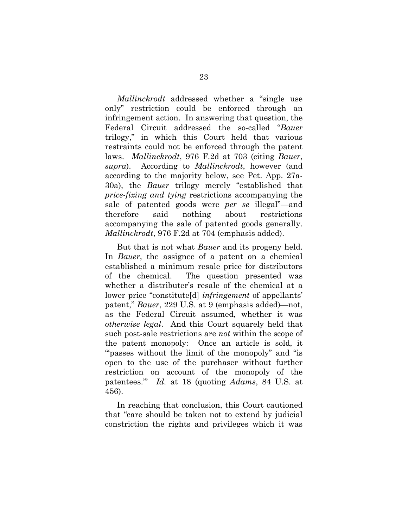*Mallinckrodt* addressed whether a "single use only" restriction could be enforced through an infringement action. In answering that question, the Federal Circuit addressed the so-called "*Bauer* trilogy," in which this Court held that various restraints could not be enforced through the patent laws. *Mallinckrodt*, 976 F.2d at 703 (citing *Bauer*, *supra*). According to *Mallinckrodt*, however (and according to the majority below, see Pet. App. 27a-30a), the *Bauer* trilogy merely "established that *price-fixing and tying* restrictions accompanying the sale of patented goods were *per se* illegal"—and therefore said nothing about restrictions accompanying the sale of patented goods generally. *Mallinckrodt*, 976 F.2d at 704 (emphasis added).

But that is not what *Bauer* and its progeny held. In *Bauer*, the assignee of a patent on a chemical established a minimum resale price for distributors of the chemical. The question presented was whether a distributer's resale of the chemical at a lower price "constitute[d] *infringement* of appellants' patent," *Bauer*, 229 U.S. at 9 (emphasis added)—not, as the Federal Circuit assumed, whether it was *otherwise legal*. And this Court squarely held that such post-sale restrictions are *not* within the scope of the patent monopoly: Once an article is sold, it "" passes without the limit of the monopoly" and "is" open to the use of the purchaser without further restriction on account of the monopoly of the patentees.'" *Id.* at 18 (quoting *Adams*, 84 U.S. at 456).

In reaching that conclusion, this Court cautioned that "care should be taken not to extend by judicial constriction the rights and privileges which it was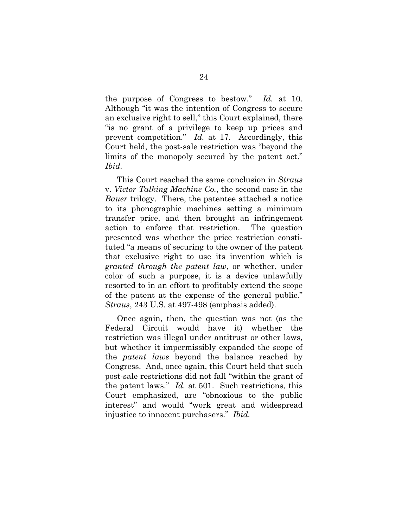the purpose of Congress to bestow." *Id.* at 10. Although "it was the intention of Congress to secure an exclusive right to sell," this Court explained, there "is no grant of a privilege to keep up prices and prevent competition." *Id.* at 17. Accordingly, this Court held, the post-sale restriction was "beyond the limits of the monopoly secured by the patent act." *Ibid.*

This Court reached the same conclusion in *Straus*  v. *Victor Talking Machine Co.*, the second case in the *Bauer* trilogy. There, the patentee attached a notice to its phonographic machines setting a minimum transfer price, and then brought an infringement action to enforce that restriction. The question presented was whether the price restriction constituted "a means of securing to the owner of the patent that exclusive right to use its invention which is *granted through the patent law*, or whether, under color of such a purpose, it is a device unlawfully resorted to in an effort to profitably extend the scope of the patent at the expense of the general public." *Straus*, 243 U.S. at 497-498 (emphasis added).

Once again, then, the question was not (as the Federal Circuit would have it) whether the restriction was illegal under antitrust or other laws, but whether it impermissibly expanded the scope of the *patent laws* beyond the balance reached by Congress. And, once again, this Court held that such post-sale restrictions did not fall "within the grant of the patent laws." *Id.* at 501. Such restrictions, this Court emphasized, are "obnoxious to the public interest" and would "work great and widespread injustice to innocent purchasers." *Ibid.*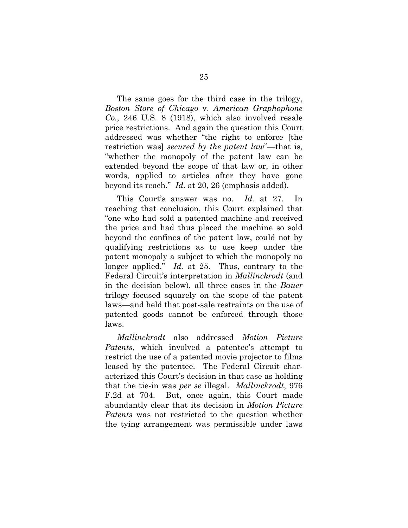The same goes for the third case in the trilogy, *Boston Store of Chicago* v. *American Graphophone Co.*, 246 U.S. 8 (1918), which also involved resale price restrictions. And again the question this Court addressed was whether "the right to enforce [the restriction was] *secured by the patent law*"—that is, "whether the monopoly of the patent law can be extended beyond the scope of that law or, in other words, applied to articles after they have gone beyond its reach." *Id.* at 20, 26 (emphasis added).

This Court's answer was no. *Id.* at 27. In reaching that conclusion, this Court explained that "one who had sold a patented machine and received the price and had thus placed the machine so sold beyond the confines of the patent law, could not by qualifying restrictions as to use keep under the patent monopoly a subject to which the monopoly no longer applied." *Id.* at 25. Thus, contrary to the Federal Circuit's interpretation in *Mallinckrodt* (and in the decision below), all three cases in the *Bauer* trilogy focused squarely on the scope of the patent laws—and held that post-sale restraints on the use of patented goods cannot be enforced through those laws.

*Mallinckrodt* also addressed *Motion Picture Patents*, which involved a patentee's attempt to restrict the use of a patented movie projector to films leased by the patentee. The Federal Circuit characterized this Court's decision in that case as holding that the tie-in was *per se* illegal. *Mallinckrodt*, 976 F.2d at 704. But, once again, this Court made abundantly clear that its decision in *Motion Picture Patents* was not restricted to the question whether the tying arrangement was permissible under laws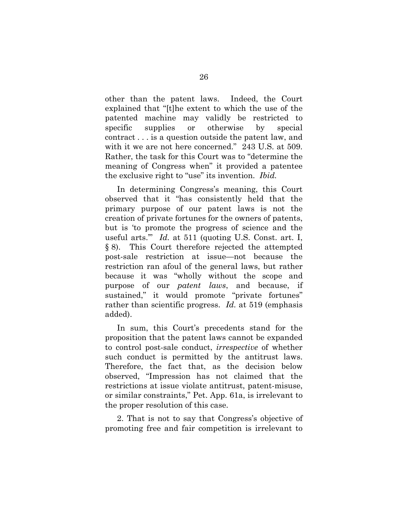other than the patent laws. Indeed, the Court explained that "[t]he extent to which the use of the patented machine may validly be restricted to specific supplies or otherwise by special contract . . . is a question outside the patent law, and with it we are not here concerned." 243 U.S. at 509. Rather, the task for this Court was to "determine the meaning of Congress when" it provided a patentee the exclusive right to "use" its invention. *Ibid.*

In determining Congress's meaning, this Court observed that it "has consistently held that the primary purpose of our patent laws is not the creation of private fortunes for the owners of patents, but is 'to promote the progress of science and the useful arts.'" *Id.* at 511 (quoting U.S. Const. art. I, § 8). This Court therefore rejected the attempted post-sale restriction at issue—not because the restriction ran afoul of the general laws, but rather because it was "wholly without the scope and purpose of our *patent laws*, and because, if sustained," it would promote "private fortunes" rather than scientific progress. *Id.* at 519 (emphasis added).

In sum, this Court's precedents stand for the proposition that the patent laws cannot be expanded to control post-sale conduct, *irrespective* of whether such conduct is permitted by the antitrust laws. Therefore, the fact that, as the decision below observed, "Impression has not claimed that the restrictions at issue violate antitrust, patent-misuse, or similar constraints," Pet. App. 61a, is irrelevant to the proper resolution of this case.

2. That is not to say that Congress's objective of promoting free and fair competition is irrelevant to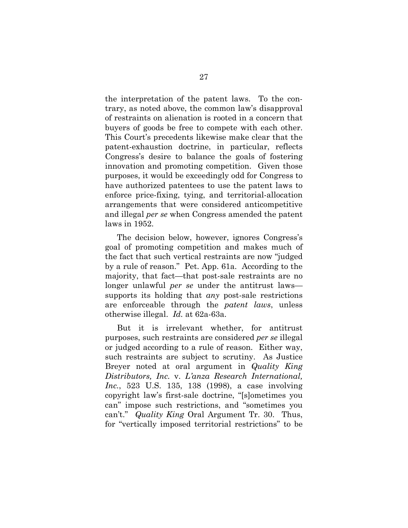the interpretation of the patent laws. To the contrary, as noted above, the common law's disapproval of restraints on alienation is rooted in a concern that buyers of goods be free to compete with each other. This Court's precedents likewise make clear that the patent-exhaustion doctrine, in particular, reflects Congress's desire to balance the goals of fostering innovation and promoting competition. Given those purposes, it would be exceedingly odd for Congress to have authorized patentees to use the patent laws to enforce price-fixing, tying, and territorial-allocation arrangements that were considered anticompetitive and illegal *per se* when Congress amended the patent laws in 1952.

The decision below, however, ignores Congress's goal of promoting competition and makes much of the fact that such vertical restraints are now "judged by a rule of reason." Pet. App. 61a. According to the majority, that fact—that post-sale restraints are no longer unlawful *per se* under the antitrust laws supports its holding that *any* post-sale restrictions are enforceable through the *patent laws*, unless otherwise illegal. *Id.* at 62a-63a.

But it is irrelevant whether, for antitrust purposes, such restraints are considered *per se* illegal or judged according to a rule of reason. Either way, such restraints are subject to scrutiny. As Justice Breyer noted at oral argument in *Quality King Distributors, Inc.* v. *L'anza Research International, Inc.*, 523 U.S. 135, 138 (1998), a case involving copyright law's first-sale doctrine, "[s]ometimes you can" impose such restrictions, and "sometimes you can't." *Quality King* Oral Argument Tr. 30. Thus, for "vertically imposed territorial restrictions" to be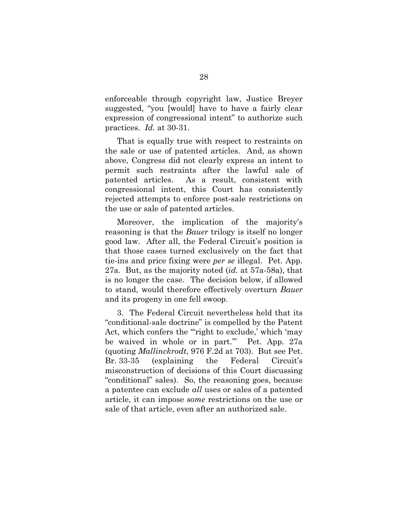enforceable through copyright law, Justice Breyer suggested, "you [would] have to have a fairly clear expression of congressional intent" to authorize such practices. *Id.* at 30-31.

That is equally true with respect to restraints on the sale or use of patented articles. And, as shown above, Congress did not clearly express an intent to permit such restraints after the lawful sale of patented articles. As a result, consistent with congressional intent, this Court has consistently rejected attempts to enforce post-sale restrictions on the use or sale of patented articles.

Moreover, the implication of the majority's reasoning is that the *Bauer* trilogy is itself no longer good law. After all, the Federal Circuit's position is that those cases turned exclusively on the fact that tie-ins and price fixing were *per se* illegal. Pet. App. 27a. But, as the majority noted (*id.* at 57a-58a), that is no longer the case. The decision below, if allowed to stand, would therefore effectively overturn *Bauer* and its progeny in one fell swoop.

3. The Federal Circuit nevertheless held that its "conditional-sale doctrine" is compelled by the Patent Act, which confers the "'right to exclude,' which 'may be waived in whole or in part.'" Pet. App. 27a (quoting *Mallinckrodt*, 976 F.2d at 703). But see Pet. Br. 33-35 (explaining the Federal Circuit's misconstruction of decisions of this Court discussing "conditional" sales). So, the reasoning goes, because a patentee can exclude *all* uses or sales of a patented article, it can impose *some* restrictions on the use or sale of that article, even after an authorized sale.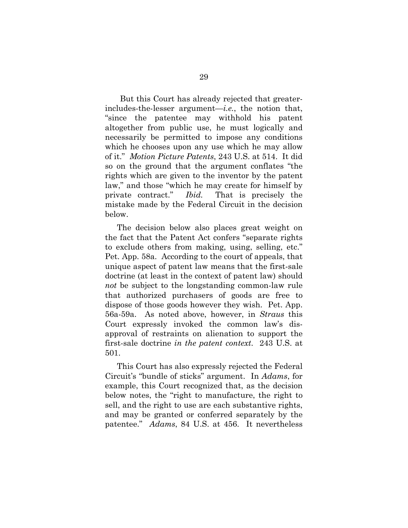But this Court has already rejected that greaterincludes-the-lesser argument—*i.e.*, the notion that, "since the patentee may withhold his patent altogether from public use, he must logically and necessarily be permitted to impose any conditions which he chooses upon any use which he may allow of it." *Motion Picture Patents*, 243 U.S. at 514. It did so on the ground that the argument conflates "the rights which are given to the inventor by the patent law," and those "which he may create for himself by private contract." *Ibid.* That is precisely the mistake made by the Federal Circuit in the decision below.

The decision below also places great weight on the fact that the Patent Act confers "separate rights to exclude others from making, using, selling, etc." Pet. App. 58a. According to the court of appeals, that unique aspect of patent law means that the first-sale doctrine (at least in the context of patent law) should *not* be subject to the longstanding common-law rule that authorized purchasers of goods are free to dispose of those goods however they wish. Pet. App. 56a-59a. As noted above, however, in *Straus* this Court expressly invoked the common law's disapproval of restraints on alienation to support the first-sale doctrine *in the patent context*. 243 U.S. at 501.

This Court has also expressly rejected the Federal Circuit's "bundle of sticks" argument. In *Adams*, for example, this Court recognized that, as the decision below notes, the "right to manufacture, the right to sell, and the right to use are each substantive rights, and may be granted or conferred separately by the patentee." *Adams*, 84 U.S. at 456. It nevertheless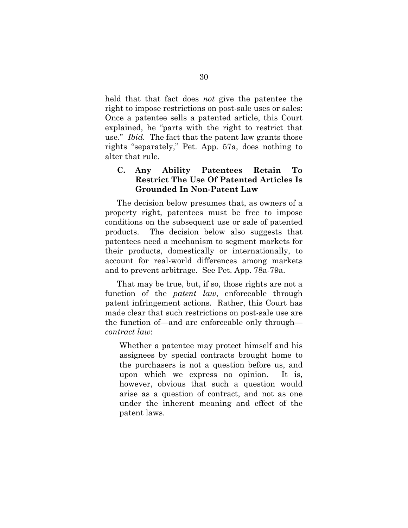held that that fact does *not* give the patentee the right to impose restrictions on post-sale uses or sales: Once a patentee sells a patented article, this Court explained, he "parts with the right to restrict that use." *Ibid.* The fact that the patent law grants those rights "separately," Pet. App. 57a, does nothing to alter that rule.

#### **C. Any Ability Patentees Retain To Restrict The Use Of Patented Articles Is Grounded In Non-Patent Law**

The decision below presumes that, as owners of a property right, patentees must be free to impose conditions on the subsequent use or sale of patented products. The decision below also suggests that patentees need a mechanism to segment markets for their products, domestically or internationally, to account for real-world differences among markets and to prevent arbitrage. See Pet. App. 78a-79a.

That may be true, but, if so, those rights are not a function of the *patent law*, enforceable through patent infringement actions*.* Rather, this Court has made clear that such restrictions on post-sale use are the function of—and are enforceable only through *contract law*:

Whether a patentee may protect himself and his assignees by special contracts brought home to the purchasers is not a question before us, and upon which we express no opinion. It is, however, obvious that such a question would arise as a question of contract, and not as one under the inherent meaning and effect of the patent laws.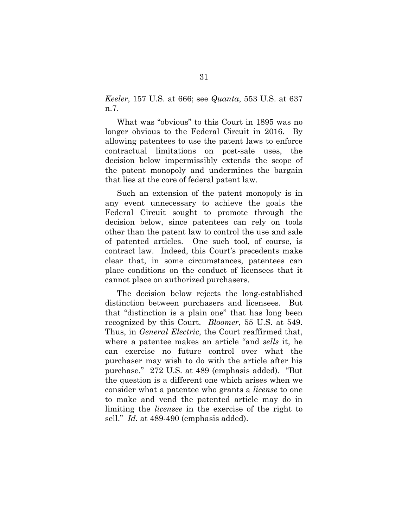*Keeler*, 157 U.S. at 666; see *Quanta*, 553 U.S. at 637 n.7.

What was "obvious" to this Court in 1895 was no longer obvious to the Federal Circuit in 2016. By allowing patentees to use the patent laws to enforce contractual limitations on post-sale uses, the decision below impermissibly extends the scope of the patent monopoly and undermines the bargain that lies at the core of federal patent law.

Such an extension of the patent monopoly is in any event unnecessary to achieve the goals the Federal Circuit sought to promote through the decision below, since patentees can rely on tools other than the patent law to control the use and sale of patented articles. One such tool, of course, is contract law. Indeed, this Court's precedents make clear that, in some circumstances, patentees can place conditions on the conduct of licensees that it cannot place on authorized purchasers.

The decision below rejects the long-established distinction between purchasers and licensees. But that "distinction is a plain one" that has long been recognized by this Court. *Bloomer*, 55 U.S. at 549. Thus, in *General Electric*, the Court reaffirmed that, where a patentee makes an article "and *sells* it, he can exercise no future control over what the purchaser may wish to do with the article after his purchase." 272 U.S. at 489 (emphasis added). "But the question is a different one which arises when we consider what a patentee who grants a *license* to one to make and vend the patented article may do in limiting the *licensee* in the exercise of the right to sell." *Id.* at 489-490 (emphasis added).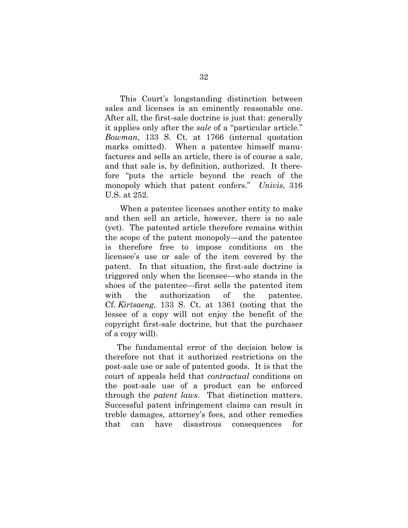This Court's longstanding distinction between sales and licenses is an eminently reasonable one. After all, the first-sale doctrine is just that: generally it applies only after the *sale* of a "particular article." *Bowman*, 133 S. Ct. at 1766 (internal quotation marks omitted). When a patentee himself manufactures and sells an article, there is of course a sale, and that sale is, by definition, authorized. It therefore "puts the article beyond the reach of the monopoly which that patent confers." *Univis*, 316 U.S. at 252.

When a patentee licenses another entity to make and then sell an article, however, there is no sale (yet). The patented article therefore remains within the scope of the patent monopoly—and the patentee is therefore free to impose conditions on the licensee's use or sale of the item covered by the patent. In that situation, the first-sale doctrine is triggered only when the licensee—who stands in the shoes of the patentee—first sells the patented item with the authorization of the patentee. Cf. *Kirtsaeng*, 133 S. Ct. at 1361 (noting that the lessee of a copy will not enjoy the benefit of the copyright first-sale doctrine, but that the purchaser of a copy will).

The fundamental error of the decision below is therefore not that it authorized restrictions on the post-sale use or sale of patented goods. It is that the court of appeals held that *contractual* conditions on the post-sale use of a product can be enforced through the *patent laws*. That distinction matters. Successful patent infringement claims can result in treble damages, attorney's fees, and other remedies that can have disastrous consequences for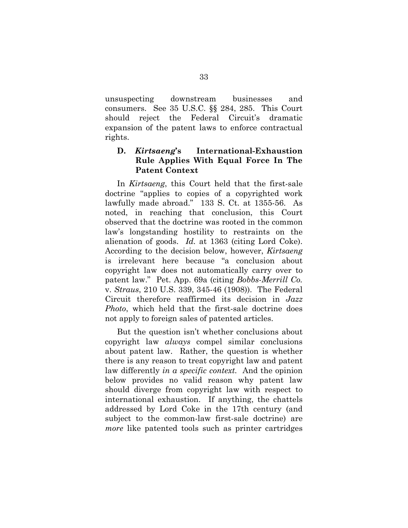unsuspecting downstream businesses and consumers. See 35 U.S.C. §§ 284, 285. This Court should reject the Federal Circuit's dramatic expansion of the patent laws to enforce contractual rights.

#### **D.** *Kirtsaeng***'s International-Exhaustion Rule Applies With Equal Force In The Patent Context**

In *Kirtsaeng*, this Court held that the first-sale doctrine "applies to copies of a copyrighted work lawfully made abroad." 133 S. Ct. at 1355-56. As noted, in reaching that conclusion, this Court observed that the doctrine was rooted in the common law's longstanding hostility to restraints on the alienation of goods. *Id.* at 1363 (citing Lord Coke). According to the decision below, however, *Kirtsaeng* is irrelevant here because "a conclusion about copyright law does not automatically carry over to patent law." Pet. App. 69a (citing *Bobbs-Merrill Co.* v. *Straus*, 210 U.S. 339, 345-46 (1908)). The Federal Circuit therefore reaffirmed its decision in *Jazz Photo*, which held that the first-sale doctrine does not apply to foreign sales of patented articles.

But the question isn't whether conclusions about copyright law *always* compel similar conclusions about patent law. Rather, the question is whether there is any reason to treat copyright law and patent law differently *in a specific context.* And the opinion below provides no valid reason why patent law should diverge from copyright law with respect to international exhaustion. If anything, the chattels addressed by Lord Coke in the 17th century (and subject to the common-law first-sale doctrine) are *more* like patented tools such as printer cartridges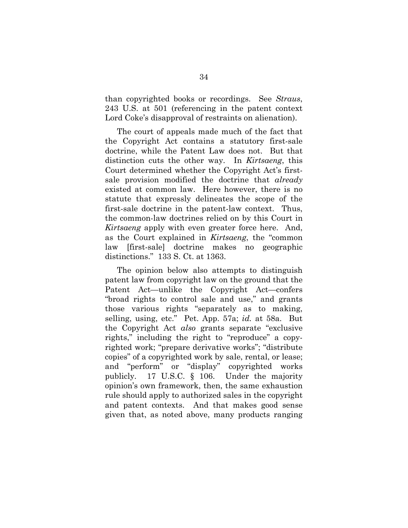than copyrighted books or recordings. See *Straus*, 243 U.S. at 501 (referencing in the patent context Lord Coke's disapproval of restraints on alienation).

The court of appeals made much of the fact that the Copyright Act contains a statutory first-sale doctrine, while the Patent Law does not. But that distinction cuts the other way. In *Kirtsaeng*, this Court determined whether the Copyright Act's firstsale provision modified the doctrine that *already* existed at common law. Here however, there is no statute that expressly delineates the scope of the first-sale doctrine in the patent-law context. Thus, the common-law doctrines relied on by this Court in *Kirtsaeng* apply with even greater force here. And, as the Court explained in *Kirtsaeng*, the "common law [first-sale] doctrine makes no geographic distinctions." 133 S. Ct. at 1363.

The opinion below also attempts to distinguish patent law from copyright law on the ground that the Patent Act—unlike the Copyright Act—confers "broad rights to control sale and use," and grants those various rights "separately as to making, selling, using, etc." Pet. App. 57a; *id.* at 58a. But the Copyright Act *also* grants separate "exclusive rights," including the right to "reproduce" a copyrighted work; "prepare derivative works"; "distribute copies" of a copyrighted work by sale, rental, or lease; and "perform" or "display" copyrighted works publicly. 17 U.S.C. § 106. Under the majority opinion's own framework, then, the same exhaustion rule should apply to authorized sales in the copyright and patent contexts. And that makes good sense given that, as noted above, many products ranging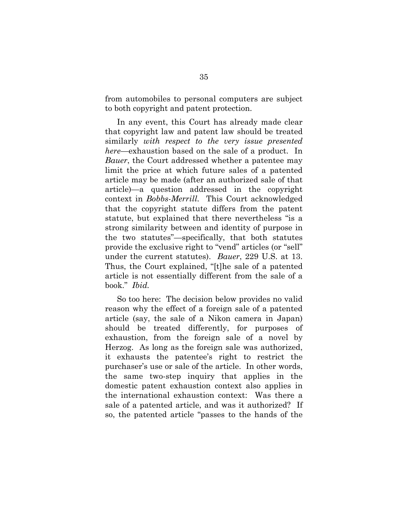from automobiles to personal computers are subject to both copyright and patent protection.

In any event, this Court has already made clear that copyright law and patent law should be treated similarly *with respect to the very issue presented here*—exhaustion based on the sale of a product. In *Bauer*, the Court addressed whether a patentee may limit the price at which future sales of a patented article may be made (after an authorized sale of that article)—a question addressed in the copyright context in *Bobbs-Merrill.* This Court acknowledged that the copyright statute differs from the patent statute, but explained that there nevertheless "is a strong similarity between and identity of purpose in the two statutes"—specifically, that both statutes provide the exclusive right to "vend" articles (or "sell" under the current statutes). *Bauer*, 229 U.S. at 13. Thus, the Court explained, "[t]he sale of a patented article is not essentially different from the sale of a book." *Ibid.*

So too here: The decision below provides no valid reason why the effect of a foreign sale of a patented article (say, the sale of a Nikon camera in Japan) should be treated differently, for purposes of exhaustion, from the foreign sale of a novel by Herzog. As long as the foreign sale was authorized, it exhausts the patentee's right to restrict the purchaser's use or sale of the article. In other words, the same two-step inquiry that applies in the domestic patent exhaustion context also applies in the international exhaustion context: Was there a sale of a patented article, and was it authorized? If so, the patented article "passes to the hands of the